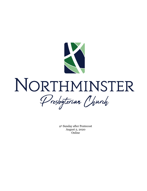

# NORTHMINSTER Presbyteriar Church

9th Sunday after Pentecost August 2, 2020 Online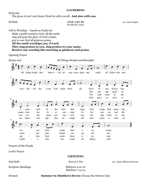## **GATHERING**

Welcome

The grace of our Lord Jesus Christ be with you all. **And also with you.**

**Prelude** arr. Anne Organ *Abide with Me* arr. Anne Organ Pat McCall, violin

Call to Worship — based on Psalm 66 Make a joyful sound to God, all the earth; sing and pray the glory of God's name; give to our God all glorious praise. **All the earth worships you, O Lord. They sing praises to you, sing praises to your name. Receive our worship this morning as gladness and praise.** 

Opening Prayer

Hymn #20 *All Things Bright and Beautiful*  $\overline{\mathbf{o}}$ All things bright and beau-ti - ful, all crea-tures great and small, all things wise and flower won -  $der - ful$ , the Lord God made them all. Each lit  $\overline{a}$ tles that The  $\overline{\phantom{a}}$ ple  $-$  head  $$ ed pur The cold wind the in God gave **us** eyes to 10 ᆉ.  $0$ pens, each lit  $\overline{\phantom{0}}$ tles bird that sings, God made their glow  $ing$  $\overline{a}$ by,  $moun - tain$ . the riv  $\overline{\phantom{0}}$ er run  $\overline{\phantom{a}}$ ning the sun  $\overline{\phantom{a}}$ set. and the the pleas ant mer the ripe fruits in the  $win - ter$ , sum  $$ sun, and lips that might tell how God Al see them, we great is  $\overline{a}$  $14$ d  $\overline{\mathbf{o}}$ col God made their ti wings. ors; ny morn ing that bright  $\overline{\phantom{a}}$ ens  $up$ the sky. God made them one. gar den, ev ery might у, who has made all things well.

Prayers of the People

Lord's Prayer

# **LISTENING**

| Interlude                 | Just as I Am                       | arr. James Michael Stevens |
|---------------------------|------------------------------------|----------------------------|
| <b>Scripture Readings</b> | Hebrews 4:12-16<br>Matthew 7:13-14 |                            |

Sermon **Summer in (Matthew) Seven:** Choose the Narrow Gate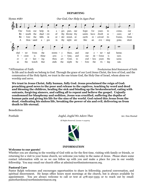### **DEPARTING**



\*Affirmation of Faith Presbyterian Brief Statement of Faith

In life and in death we belong to God. Through the grace of our Lord Jesus Christ, the love of God, and the communion of the Holy Spirit, we trust in the one triune God, the Holy One of Israel, whom alone we worship and serve.

**We trust in Jesus Christ, fully human, fully God. Jesus proclaimed the reign of God: preaching good news to the poor and release to the captives, teaching by word and deed and blessing the children, healing the sick and binding up the brokenhearted, eating with outcasts, forgiving sinners, and calling all to repent and believe the gospel. Unjustly condemned for blasphemy and sedition, Jesus was crucified, suffering the depths of human pain and giving his life for the sins of the world. God raised this Jesus from the dead, vindicating his sinless life, breaking the power of sin and evil, delivering us from death to life eternal.**

Benediction

Postlude *Joyful, Joyful We Adore Thee* Arr. Don Hustad

All Rights Reserved, License # 1244003



### **INFORMATION**

### **Welcome to our guests!**

Whether you are sharing in the worship of God with us for the first time, visiting with family or friends, or returning for a visit to your home church, we welcome you today in the name of Jesus. Please share some contact information with us so we can follow up with you and make a place for you in our weekly fellowship. You may email our church office at admin@northminstermacon.org.

### **Pastoral Care**

Pastor Ralph welcomes and encourages opportunities to share in fellowship, pastoral conversation, and spiritual discernment. He keeps office hours most mornings at the church, but is always available by appointment. You are always welcome to call or text at 478-250-3355 or to reach out by email: pastorhawkins@northminstermacon.org